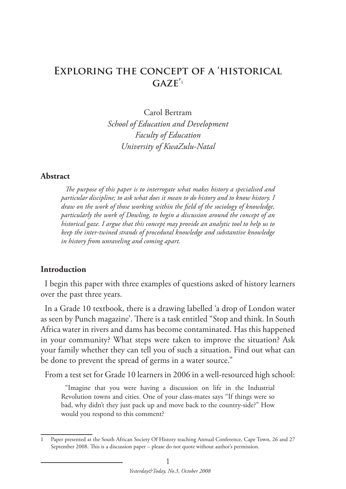# **Exploring the concept of a 'historical**   $GAZE'$ <sup>1</sup>

Carol Bertram *School of Education and Development Faculty of Education University of KwaZulu-Natal*

#### **Abstract**

*The purpose of this paper is to interrogate what makes history a specialised and particular discipline; to ask what does it mean to do history and to know history. I draw on the work of those working within the field of the sociology of knowledge, particularly the work of Dowling, to begin a discussion around the concept of an historical gaze. I argue that this concept may provide an analytic tool to help us to keep the inter-twined strands of procedural knowledge and substantive knowledge in history from unraveling and coming apart.* 

#### **Introduction**

I begin this paper with three examples of questions asked of history learners over the past three years.

In a Grade 10 textbook, there is a drawing labelled 'a drop of London water as seen by Punch magazine'. There is a task entitled "Stop and think. In South Africa water in rivers and dams has become contaminated. Has this happened in your community? What steps were taken to improve the situation? Ask your family whether they can tell you of such a situation. Find out what can be done to prevent the spread of germs in a water source."

From a test set for Grade 10 learners in 2006 in a well-resourced high school:

"Imagine that you were having a discussion on life in the Industrial Revolution towns and cities. One of your class-mates says "If things were so bad, why didn't they just pack up and move back to the country-side?" How would you respond to this comment?

<sup>1</sup> Paper presented at the South African Society Of History teaching Annual Conference, Cape Town, 26 and 27 September 2008. This is a discussion paper – please do not quote without author's permission.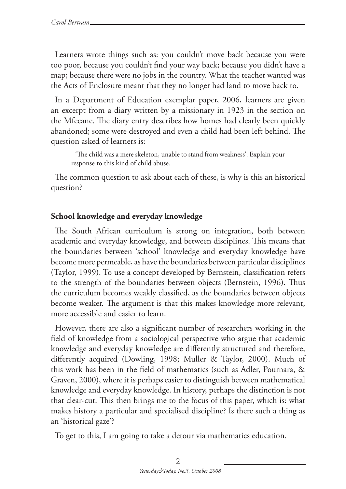Learners wrote things such as: you couldn't move back because you were too poor, because you couldn't find your way back; because you didn't have a map; because there were no jobs in the country. What the teacher wanted was the Acts of Enclosure meant that they no longer had land to move back to.

In a Department of Education exemplar paper, 2006, learners are given an excerpt from a diary written by a missionary in 1923 in the section on the Mfecane. The diary entry describes how homes had clearly been quickly abandoned; some were destroyed and even a child had been left behind. The question asked of learners is:

'The child was a mere skeleton, unable to stand from weakness'. Explain your response to this kind of child abuse.

The common question to ask about each of these, is why is this an historical question?

#### **School knowledge and everyday knowledge**

The South African curriculum is strong on integration, both between academic and everyday knowledge, and between disciplines. This means that the boundaries between 'school' knowledge and everyday knowledge have become more permeable, as have the boundaries between particular disciplines (Taylor, 1999). To use a concept developed by Bernstein, classification refers to the strength of the boundaries between objects (Bernstein, 1996). Thus the curriculum becomes weakly classified, as the boundaries between objects become weaker. The argument is that this makes knowledge more relevant, more accessible and easier to learn.

However, there are also a significant number of researchers working in the field of knowledge from a sociological perspective who argue that academic knowledge and everyday knowledge are differently structured and therefore, differently acquired (Dowling, 1998; Muller & Taylor, 2000). Much of this work has been in the field of mathematics (such as Adler, Pournara, & Graven, 2000), where it is perhaps easier to distinguish between mathematical knowledge and everyday knowledge. In history, perhaps the distinction is not that clear-cut. This then brings me to the focus of this paper, which is: what makes history a particular and specialised discipline? Is there such a thing as an 'historical gaze'?

To get to this, I am going to take a detour via mathematics education.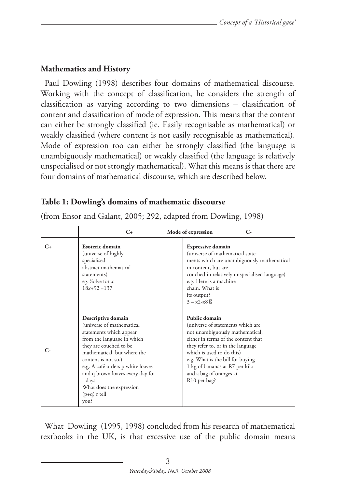# **Mathematics and History**

Paul Dowling (1998) describes four domains of mathematical discourse. Working with the concept of classification, he considers the strength of classification as varying according to two dimensions – classification of content and classification of mode of expression. This means that the content can either be strongly classified (ie. Easily recognisable as mathematical) or weakly classified (where content is not easily recognisable as mathematical). Mode of expression too can either be strongly classified (the language is unambiguously mathematical) or weakly classified (the language is relatively unspecialised or not strongly mathematical). What this means is that there are four domains of mathematical discourse, which are described below.

# **Table 1: Dowling's domains of mathematic discourse**

|         | $C_{\pm}$                                                                                                                                                                                                                                                                                                                          | Mode of expression<br>$\mathsf{C}\mathsf{=}$                                                                                                                                                                                                                                                                                |
|---------|------------------------------------------------------------------------------------------------------------------------------------------------------------------------------------------------------------------------------------------------------------------------------------------------------------------------------------|-----------------------------------------------------------------------------------------------------------------------------------------------------------------------------------------------------------------------------------------------------------------------------------------------------------------------------|
| $C_{+}$ | Esoteric domain<br>(universe of highly<br>specialised<br>abstract mathematical<br>statements)<br>eg. Solve for x:<br>$18x+92=137$                                                                                                                                                                                                  | <b>Expressive domain</b><br>(universe of mathematical state-<br>ments which are unambiguously mathematical<br>in content, but are<br>couched in relatively unspecialised language)<br>e.g. Here is a machine<br>chain. What is<br>its output?<br>$3 - x2 - x8$                                                              |
| c.      | Descriptive domain<br>(universe of mathematical<br>statements which appear<br>from the language in which<br>they are couched to be<br>mathematical, but where the<br>content is not so.)<br>e.g. A café orders p white loaves<br>and q brown loaves every day for<br>r days.<br>What does the expression<br>$(p+q)$ r tell<br>you? | Public domain<br>(universe of statements which are<br>not unambiguously mathematical,<br>either in terms of the content that<br>they refer to, or in the language<br>which is used to do this)<br>e.g. What is the bill for buying<br>1 kg of bananas at R7 per kilo<br>and a bag of oranges at<br>R <sub>10</sub> per bag? |

(from Ensor and Galant, 2005; 292, adapted from Dowling, 1998)

What Dowling (1995, 1998) concluded from his research of mathematical textbooks in the UK, is that excessive use of the public domain means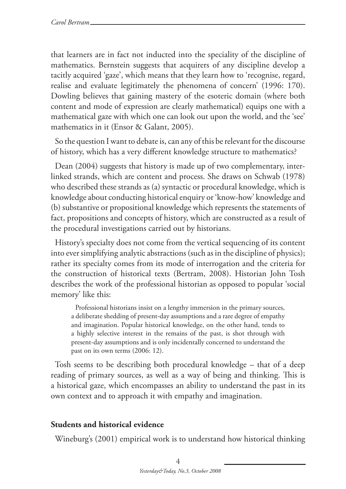that learners are in fact not inducted into the speciality of the discipline of mathematics. Bernstein suggests that acquirers of any discipline develop a tacitly acquired 'gaze', which means that they learn how to 'recognise, regard, realise and evaluate legitimately the phenomena of concern' (1996: 170). Dowling believes that gaining mastery of the esoteric domain (where both content and mode of expression are clearly mathematical) equips one with a mathematical gaze with which one can look out upon the world, and the 'see' mathematics in it (Ensor & Galant, 2005).

So the question I want to debate is, can any of this be relevant for the discourse of history, which has a very different knowledge structure to mathematics?

Dean (2004) suggests that history is made up of two complementary, interlinked strands, which are content and process. She draws on Schwab (1978) who described these strands as (a) syntactic or procedural knowledge, which is knowledge about conducting historical enquiry or 'know-how' knowledge and (b) substantive or propositional knowledge which represents the statements of fact, propositions and concepts of history, which are constructed as a result of the procedural investigations carried out by historians.

History's specialty does not come from the vertical sequencing of its content into ever simplifying analytic abstractions (such as in the discipline of physics); rather its specialty comes from its mode of interrogation and the criteria for the construction of historical texts (Bertram, 2008). Historian John Tosh describes the work of the professional historian as opposed to popular 'social memory' like this:

Professional historians insist on a lengthy immersion in the primary sources, a deliberate shedding of present-day assumptions and a rare degree of empathy and imagination. Popular historical knowledge, on the other hand, tends to a highly selective interest in the remains of the past, is shot through with present-day assumptions and is only incidentally concerned to understand the past on its own terms (2006: 12).

Tosh seems to be describing both procedural knowledge – that of a deep reading of primary sources, as well as a way of being and thinking. This is a historical gaze, which encompasses an ability to understand the past in its own context and to approach it with empathy and imagination.

# **Students and historical evidence**

Wineburg's (2001) empirical work is to understand how historical thinking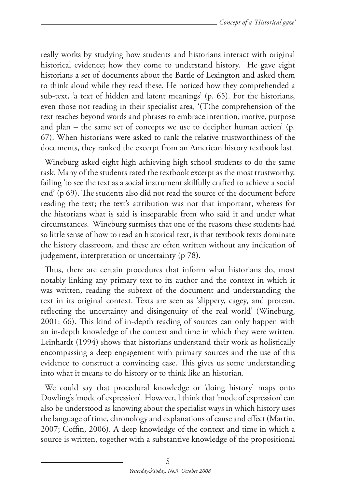really works by studying how students and historians interact with original historical evidence; how they come to understand history. He gave eight historians a set of documents about the Battle of Lexington and asked them to think aloud while they read these. He noticed how they comprehended a sub-text, 'a text of hidden and latent meanings' (p. 65). For the historians, even those not reading in their specialist area, '(T)he comprehension of the text reaches beyond words and phrases to embrace intention, motive, purpose and plan – the same set of concepts we use to decipher human action' (p. 67). When historians were asked to rank the relative trustworthiness of the documents, they ranked the excerpt from an American history textbook last.

Wineburg asked eight high achieving high school students to do the same task. Many of the students rated the textbook excerpt as the most trustworthy, failing 'to see the text as a social instrument skilfully crafted to achieve a social end' (p 69). The students also did not read the source of the document before reading the text; the text's attribution was not that important, whereas for the historians what is said is inseparable from who said it and under what circumstances. Wineburg surmises that one of the reasons these students had so little sense of how to read an historical text, is that textbook texts dominate the history classroom, and these are often written without any indication of judgement, interpretation or uncertainty (p 78).

Thus, there are certain procedures that inform what historians do, most notably linking any primary text to its author and the context in which it was written, reading the subtext of the document and understanding the text in its original context. Texts are seen as 'slippery, cagey, and protean, reflecting the uncertainty and disingenuity of the real world' (Wineburg, 2001: 66). This kind of in-depth reading of sources can only happen with an in-depth knowledge of the context and time in which they were written. Leinhardt (1994) shows that historians understand their work as holistically encompassing a deep engagement with primary sources and the use of this evidence to construct a convincing case. This gives us some understanding into what it means to do history or to think like an historian.

We could say that procedural knowledge or 'doing history' maps onto Dowling's 'mode of expression'. However, I think that 'mode of expression' can also be understood as knowing about the specialist ways in which history uses the language of time, chronology and explanations of cause and effect (Martin, 2007; Coffin, 2006). A deep knowledge of the context and time in which a source is written, together with a substantive knowledge of the propositional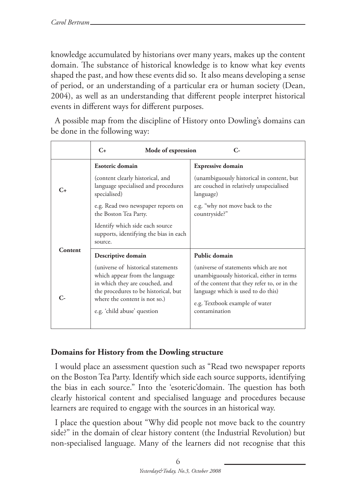knowledge accumulated by historians over many years, makes up the content domain. The substance of historical knowledge is to know what key events shaped the past, and how these events did so. It also means developing a sense of period, or an understanding of a particular era or human society (Dean, 2004), as well as an understanding that different people interpret historical events in different ways for different purposes.

A possible map from the discipline of History onto Dowling's domains can be done in the following way:

|           | $C_{+}$<br>Mode of expression<br>$\mathsf{C}\text{-}$                                                                                                                                                                                 |                                                                                                                                                                                                                                              |
|-----------|---------------------------------------------------------------------------------------------------------------------------------------------------------------------------------------------------------------------------------------|----------------------------------------------------------------------------------------------------------------------------------------------------------------------------------------------------------------------------------------------|
| $C_{\pm}$ | Esoteric domain<br>(content clearly historical, and<br>language specialised and procedures<br>specialised)<br>e.g. Read two newspaper reports on<br>the Boston Tea Party.                                                             | <b>Expressive domain</b><br>(unambiguously historical in content, but<br>are couched in relatively unspecialised<br>language)<br>e.g. "why not move back to the<br>countryside?"                                                             |
| Content   | Identify which side each source<br>supports, identifying the bias in each<br>source.                                                                                                                                                  |                                                                                                                                                                                                                                              |
|           | Descriptive domain<br>(universe of historical statements)<br>which appear from the language<br>in which they are couched, and<br>the procedures to be historical, but<br>where the content is not so.)<br>e.g. 'child abuse' question | Public domain<br>(universe of statements which are not<br>unambiguously historical, either in terms<br>of the content that they refer to, or in the<br>language which is used to do this)<br>e.g. Textbook example of water<br>contamination |

# **Domains for History from the Dowling structure**

I would place an assessment question such as "Read two newspaper reports on the Boston Tea Party. Identify which side each source supports, identifying the bias in each source." Into the 'esoteric'domain. The question has both clearly historical content and specialised language and procedures because learners are required to engage with the sources in an historical way.

I place the question about "Why did people not move back to the country side?" in the domain of clear history content (the Industrial Revolution) but non-specialised language. Many of the learners did not recognise that this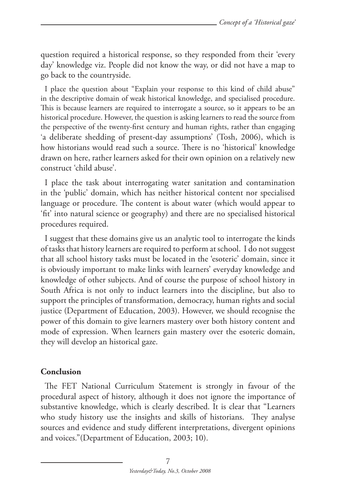question required a historical response, so they responded from their 'every day' knowledge viz. People did not know the way, or did not have a map to go back to the countryside.

I place the question about "Explain your response to this kind of child abuse" in the descriptive domain of weak historical knowledge, and specialised procedure. This is because learners are required to interrogate a source, so it appears to be an historical procedure. However, the question is asking learners to read the source from the perspective of the twenty-first century and human rights, rather than engaging 'a deliberate shedding of present-day assumptions' (Tosh, 2006), which is how historians would read such a source. There is no 'historical' knowledge drawn on here, rather learners asked for their own opinion on a relatively new construct 'child abuse'.

I place the task about interrogating water sanitation and contamination in the 'public' domain, which has neither historical content nor specialised language or procedure. The content is about water (which would appear to 'fit' into natural science or geography) and there are no specialised historical procedures required.

I suggest that these domains give us an analytic tool to interrogate the kinds of tasks that history learners are required to perform at school. I do not suggest that all school history tasks must be located in the 'esoteric' domain, since it is obviously important to make links with learners' everyday knowledge and knowledge of other subjects. And of course the purpose of school history in South Africa is not only to induct learners into the discipline, but also to support the principles of transformation, democracy, human rights and social justice (Department of Education, 2003). However, we should recognise the power of this domain to give learners mastery over both history content and mode of expression. When learners gain mastery over the esoteric domain, they will develop an historical gaze.

# **Conclusion**

The FET National Curriculum Statement is strongly in favour of the procedural aspect of history, although it does not ignore the importance of substantive knowledge, which is clearly described. It is clear that "Learners who study history use the insights and skills of historians. They analyse sources and evidence and study different interpretations, divergent opinions and voices."(Department of Education, 2003; 10).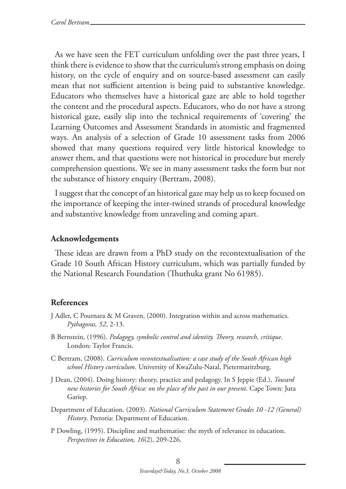As we have seen the FET curriculum unfolding over the past three years, I think there is evidence to show that the curriculum's strong emphasis on doing history, on the cycle of enquiry and on source-based assessment can easily mean that not sufficient attention is being paid to substantive knowledge. Educators who themselves have a historical gaze are able to hold together the content and the procedural aspects. Educators, who do not have a strong historical gaze, easily slip into the technical requirements of 'covering' the Learning Outcomes and Assessment Standards in atomistic and fragmented ways. An analysis of a selection of Grade 10 assessment tasks from 2006 showed that many questions required very little historical knowledge to answer them, and that questions were not historical in procedure but merely comprehension questions. We see in many assessment tasks the form but not the substance of history enquiry (Bertram, 2008).

I suggest that the concept of an historical gaze may help us to keep focused on the importance of keeping the inter-twined strands of procedural knowledge and substantive knowledge from unraveling and coming apart.

#### **Acknowledgements**

These ideas are drawn from a PhD study on the recontextualisation of the Grade 10 South African History curriculum, which was partially funded by the National Research Foundation (Thuthuka grant No 61985).

#### **References**

- J Adler, C Pournara & M Graven, (2000). Integration within and across mathematics. *Pythagoras, 52*, 2-13.
- B Bernstein, (1996). *Pedagogy, symbolic control and identity. Theory, research, critique*. London: Taylor Francis.
- C Bertram, (2008). *Curriculum recontextualisation: a case study of the South African high school History curriculum.* University of KwaZulu-Natal, Pietermaritzburg.
- J Dean, (2004). Doing history: theory, practice and pedagogy. In S Jeppie (Ed.), *Toward new histories for South Africa: on the place of the past in our present*. Cape Town: Juta Gariep.
- Department of Education. (2003). *National Curriculum Statement Grades 10 -12 (General) History*. Pretoria: Department of Education.
- P Dowling, (1995). Discipline and mathematise: the myth of relevance in education. *Perspectives in Education, 16*(2), 209-226.